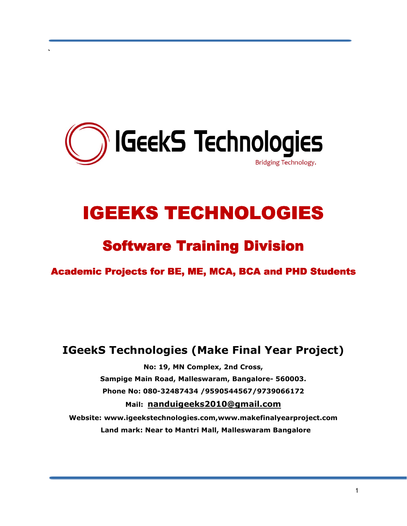

`

# **IGEEKS TECHNOLOGIES**

## Software Training Division

Academic Projects for BE, ME, MCA, BCA and PHD Students

### IGeekS Technologies (Make Final Year Project)

No: 19, MN Complex, 2nd Cross, Sampige Main Road, Malleswaram, Bangalore- 560003. Phone No: 080-32487434 /9590544567/9739066172 Mail: nanduigeeks2010@gmail.com Website: www.igeekstechnologies.com,www.makefinalyearproject.com Land mark: Near to Mantri Mall, Malleswaram Bangalore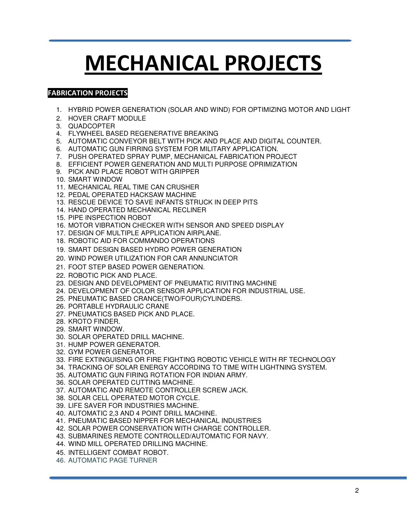# MECHANICAL PROJECTS

#### FABRICATION PROJECTS

- 1. HYBRID POWER GENERATION (SOLAR AND WIND) FOR OPTIMIZING MOTOR AND LIGHT
- 2. HOVER CRAFT MODULE
- 3. QUADCOPTER
- 4. FLYWHEEL BASED REGENERATIVE BREAKING
- 5. AUTOMATIC CONVEYOR BELT WITH PICK AND PLACE AND DIGITAL COUNTER.
- 6. AUTOMATIC GUN FIRRING SYSTEM FOR MILITARY APPLICATION.
- 7. PUSH OPERATED SPRAY PUMP, MECHANICAL FABRICATION PROJECT
- 8. EFFICIENT POWER GENERATION AND MULTI PURPOSE OPRIMIZATION
- 9. PICK AND PLACE ROBOT WITH GRIPPER
- 10. SMART WINDOW
- 11. MECHANICAL REAL TIME CAN CRUSHER
- 12. PEDAL OPERATED HACKSAW MACHINE
- 13. RESCUE DEVICE TO SAVE INFANTS STRUCK IN DEEP PITS
- 14. HAND OPERATED MECHANICAL RECLINER
- 15. PIPE INSPECTION ROBOT
- 16. MOTOR VIBRATION CHECKER WITH SENSOR AND SPEED DISPLAY
- 17. DESIGN OF MULTIPLE APPLICATION AIRPLANE.
- 18. ROBOTIC AID FOR COMMANDO OPERATIONS
- 19. SMART DESIGN BASED HYDRO POWER GENERATION
- 20. WIND POWER UTILIZATION FOR CAR ANNUNCIATOR
- 21. FOOT STEP BASED POWER GENERATION.
- 22. ROBOTIC PICK AND PLACE.
- 23. DESIGN AND DEVELOPMENT OF PNEUMATIC RIVITING MACHINE
- 24. DEVELOPMENT OF COLOR SENSOR APPLICATION FOR INDUSTRIAL USE.
- 25. PNEUMATIC BASED CRANCE(TWO/FOUR)CYLINDERS.
- 26. PORTABLE HYDRAULIC CRANE
- 27. PNEUMATICS BASED PICK AND PLACE.
- 28. KROTO FINDER.
- 29. SMART WINDOW.
- 30. SOLAR OPERATED DRILL MACHINE.
- 31. HUMP POWER GENERATOR.
- 32. GYM POWER GENERATOR.
- 33. FIRE EXTINGUISING OR FIRE FIGHTING ROBOTIC VEHICLE WITH RF TECHNOLOGY
- 34. TRACKING OF SOLAR ENERGY ACCORDING TO TIME WITH LIGHTNING SYSTEM.
- 35. AUTOMATIC GUN FIRING ROTATION FOR INDIAN ARMY.
- 36. SOLAR OPERATED CUTTING MACHINE.
- 37. AUTOMATIC AND REMOTE CONTROLLER SCREW JACK.
- 38. SOLAR CELL OPERATED MOTOR CYCLE.
- 39. LIFE SAVER FOR INDUSTRIES MACHINE.
- 40. AUTOMATIC 2,3 AND 4 POINT DRILL MACHINE.
- 41. PNEUMATIC BASED NIPPER FOR MECHANICAL INDUSTRIES
- 42. SOLAR POWER CONSERVATION WITH CHARGE CONTROLLER.
- 43. SUBMARINES REMOTE CONTROLLED/AUTOMATIC FOR NAVY.
- 44. WIND MILL OPERATED DRILLING MACHINE.
- 45. INTELLIGENT COMBAT ROBOT.
- 46. AUTOMATIC PAGE TURNER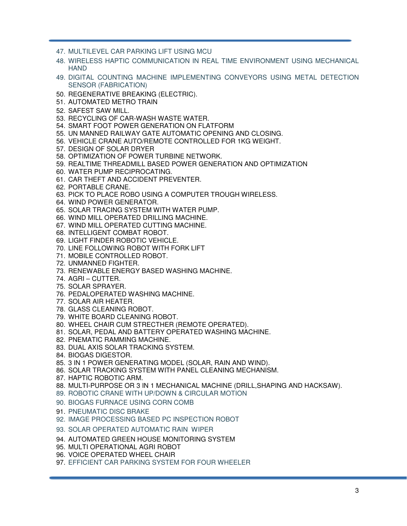- 47. MULTILEVEL CAR PARKING LIFT USING MCU
- 48. WIRELESS HAPTIC COMMUNICATION IN REAL TIME ENVIRONMENT USING MECHANICAL **HAND**
- 49. DIGITAL COUNTING MACHINE IMPLEMENTING CONVEYORS USING METAL DETECTION SENSOR (FABRICATION)
- 50. REGENERATIVE BREAKING (ELECTRIC).
- 51. AUTOMATED METRO TRAIN
- 52. SAFEST SAW MILL.
- 53. RECYCLING OF CAR-WASH WASTE WATER.
- 54. SMART FOOT POWER GENERATION ON FLATFORM
- 55. UN MANNED RAILWAY GATE AUTOMATIC OPENING AND CLOSING.
- 56. VEHICLE CRANE AUTO/REMOTE CONTROLLED FOR 1KG WEIGHT.
- 57. DESIGN OF SOLAR DRYER
- 58. OPTIMIZATION OF POWER TURBINE NETWORK.
- 59. REALTIME THREADMILL BASED POWER GENERATION AND OPTIMIZATION
- 60. WATER PUMP RECIPROCATING.
- 61. CAR THEFT AND ACCIDENT PREVENTER.
- 62. PORTABLE CRANE.
- 63. PICK TO PLACE ROBO USING A COMPUTER TROUGH WIRELESS.
- 64. WIND POWER GENERATOR.
- 65. SOLAR TRACING SYSTEM WITH WATER PUMP.
- 66. WIND MILL OPERATED DRILLING MACHINE.
- 67. WIND MILL OPERATED CUTTING MACHINE.
- 68. INTELLIGENT COMBAT ROBOT.
- 69. LIGHT FINDER ROBOTIC VEHICLE.
- 70. LINE FOLLOWING ROBOT WITH FORK LIFT
- 71. MOBILE CONTROLLED ROBOT.
- 72. UNMANNED FIGHTER.
- 73. RENEWABLE ENERGY BASED WASHING MACHINE.
- 74. AGRI CUTTER.
- 75. SOLAR SPRAYER.
- 76. PEDALOPERATED WASHING MACHINE.
- 77. SOLAR AIR HEATER.
- 78. GLASS CLEANING ROBOT.
- 79. WHITE BOARD CLEANING ROBOT.
- 80. WHEEL CHAIR CUM STRECTHER (REMOTE OPERATED).
- 81. SOLAR, PEDAL AND BATTERY OPERATED WASHING MACHINE.
- 82. PNEMATIC RAMMING MACHINE.
- 83. DUAL AXIS SOLAR TRACKING SYSTEM.
- 84. BIOGAS DIGESTOR.
- 85. 3 IN 1 POWER GENERATING MODEL (SOLAR, RAIN AND WIND).
- 86. SOLAR TRACKING SYSTEM WITH PANEL CLEANING MECHANISM.
- 87. HAPTIC ROBOTIC ARM.
- 88. MULTI-PURPOSE OR 3 IN 1 MECHANICAL MACHINE (DRILL,SHAPING AND HACKSAW).
- 89. ROBOTIC CRANE WITH UP/DOWN & CIRCULAR MOTION
- 90. BIOGAS FURNACE USING CORN COMB
- 91. PNEUMATIC DISC BRAKE
- 92. IMAGE PROCESSING BASED PC INSPECTION ROBOT
- 93. SOLAR OPERATED AUTOMATIC RAIN WIPER
- 94. AUTOMATED GREEN HOUSE MONITORING SYSTEM
- 95. MULTI OPERATIONAL AGRI ROBOT
- 96. VOICE OPERATED WHEEL CHAIR
- 97. EFFICIENT CAR PARKING SYSTEM FOR FOUR WHEELER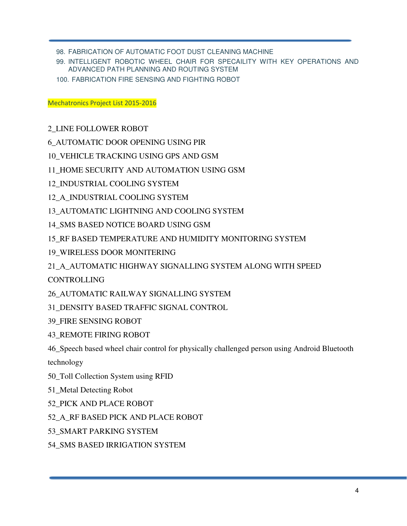98. FABRICATION OF AUTOMATIC FOOT DUST CLEANING MACHINE

99. INTELLIGENT ROBOTIC WHEEL CHAIR FOR SPECAILITY WITH KEY OPERATIONS AND ADVANCED PATH PLANNING AND ROUTING SYSTEM

100. FABRICATION FIRE SENSING AND FIGHTING ROBOT

Mechatronics Project List 2015-2016

2\_LINE FOLLOWER ROBOT

6\_AUTOMATIC DOOR OPENING USING PIR

10\_VEHICLE TRACKING USING GPS AND GSM

11\_HOME SECURITY AND AUTOMATION USING GSM

- 12\_INDUSTRIAL COOLING SYSTEM
- 12\_A\_INDUSTRIAL COOLING SYSTEM
- 13\_AUTOMATIC LIGHTNING AND COOLING SYSTEM
- 14\_SMS BASED NOTICE BOARD USING GSM
- 15\_RF BASED TEMPERATURE AND HUMIDITY MONITORING SYSTEM
- 19\_WIRELESS DOOR MONITERING
- 21\_A\_AUTOMATIC HIGHWAY SIGNALLING SYSTEM ALONG WITH SPEED

CONTROLLING

26\_AUTOMATIC RAILWAY SIGNALLING SYSTEM

31\_DENSITY BASED TRAFFIC SIGNAL CONTROL

- 39\_FIRE SENSING ROBOT
- 43\_REMOTE FIRING ROBOT

46\_Speech based wheel chair control for physically challenged person using Android Bluetooth

technology

- 50\_Toll Collection System using RFID
- 51\_Metal Detecting Robot
- 52\_PICK AND PLACE ROBOT

52\_A\_RF BASED PICK AND PLACE ROBOT

- 53\_SMART PARKING SYSTEM
- 54\_SMS BASED IRRIGATION SYSTEM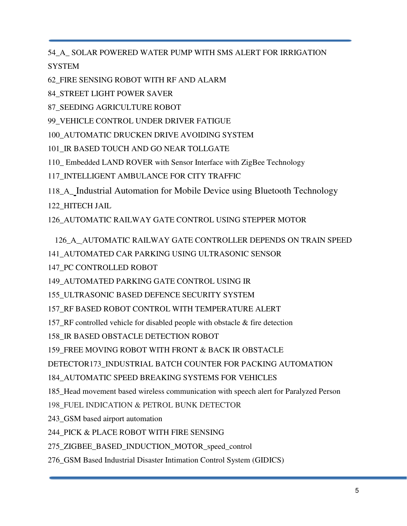54\_A**\_** SOLAR POWERED WATER PUMP WITH SMS ALERT FOR IRRIGATION

**SYSTEM** 

62\_FIRE SENSING ROBOT WITH RF AND ALARM

84\_STREET LIGHT POWER SAVER

87\_SEEDING AGRICULTURE ROBOT

99\_VEHICLE CONTROL UNDER DRIVER FATIGUE

100\_AUTOMATIC DRUCKEN DRIVE AVOIDING SYSTEM

101\_IR BASED TOUCH AND GO NEAR TOLLGATE

110\_ Embedded LAND ROVER with Sensor Interface with ZigBee Technology

117\_INTELLIGENT AMBULANCE FOR CITY TRAFFIC

118\_A\_ Industrial Automation for Mobile Device using Bluetooth Technology

122\_HITECH JAIL

126\_AUTOMATIC RAILWAY GATE CONTROL USING STEPPER MOTOR

126\_A\_ AUTOMATIC RAILWAY GATE CONTROLLER DEPENDS ON TRAIN SPEED

141\_AUTOMATED CAR PARKING USING ULTRASONIC SENSOR

147 PC CONTROLLED ROBOT

149\_AUTOMATED PARKING GATE CONTROL USING IR

155\_ULTRASONIC BASED DEFENCE SECURITY SYSTEM

157\_RF BASED ROBOT CONTROL WITH TEMPERATURE ALERT

157 RF controlled vehicle for disabled people with obstacle  $&$  fire detection

158\_IR BASED OBSTACLE DETECTION ROBOT

159 FREE MOVING ROBOT WITH FRONT & BACK IR OBSTACLE

DETECTOR173\_INDUSTRIAL BATCH COUNTER FOR PACKING AUTOMATION

184\_AUTOMATIC SPEED BREAKING SYSTEMS FOR VEHICLES

185\_Head movement based wireless communication with speech alert for Paralyzed Person

198 FUEL INDICATION & PETROL BUNK DETECTOR

243 GSM based airport automation

244\_PICK & PLACE ROBOT WITH FIRE SENSING

275\_ZIGBEE\_BASED\_INDUCTION\_MOTOR\_speed\_control

276\_GSM Based Industrial Disaster Intimation Control System (GIDICS)